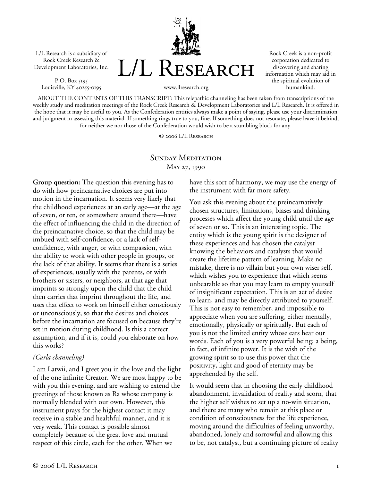L/L Research is a subsidiary of Rock Creek Research & Development Laboratories, Inc.

P.O. Box 5195 Louisville, KY 40255-0195



Rock Creek is a non-profit corporation dedicated to discovering and sharing information which may aid in the spiritual evolution of humankind.

www.llresearch.org

ABOUT THE CONTENTS OF THIS TRANSCRIPT: This telepathic channeling has been taken from transcriptions of the weekly study and meditation meetings of the Rock Creek Research & Development Laboratories and L/L Research. It is offered in the hope that it may be useful to you. As the Confederation entities always make a point of saying, please use your discrimination and judgment in assessing this material. If something rings true to you, fine. If something does not resonate, please leave it behind, for neither we nor those of the Confederation would wish to be a stumbling block for any.

© 2006 L/L Research

## SUNDAY MEDITATION May 27, 1990

**Group question:** The question this evening has to do with how preincarnative choices are put into motion in the incarnation. It seems very likely that the childhood experiences at an early age—at the age of seven, or ten, or somewhere around there—have the effect of influencing the child in the direction of the preincarnative choice, so that the child may be imbued with self-confidence, or a lack of selfconfidence, with anger, or with compassion, with the ability to work with other people in groups, or the lack of that ability. It seems that there is a series of experiences, usually with the parents, or with brothers or sisters, or neighbors, at that age that imprints so strongly upon the child that the child then carries that imprint throughout the life, and uses that effect to work on himself either consciously or unconsciously, so that the desires and choices before the incarnation are focused on because they're set in motion during childhood. Is this a correct assumption, and if it is, could you elaborate on how this works?

## *(Carla channeling)*

I am Latwii, and I greet you in the love and the light of the one infinite Creator. We are most happy to be with you this evening, and are wishing to extend the greetings of those known as Ra whose company is normally blended with our own. However, this instrument prays for the highest contact it may receive in a stable and healthful manner, and it is very weak. This contact is possible almost completely because of the great love and mutual respect of this circle, each for the other. When we

have this sort of harmony, we may use the energy of the instrument with far more safety.

You ask this evening about the preincarnatively chosen structures, limitations, biases and thinking processes which affect the young child until the age of seven or so. This is an interesting topic. The entity which is the young spirit is the designer of these experiences and has chosen the catalyst knowing the behaviors and catalysts that would create the lifetime pattern of learning. Make no mistake, there is no villain but your own wiser self, which wishes you to experience that which seems unbearable so that you may learn to empty yourself of insignificant expectation. This is an act of desire to learn, and may be directly attributed to yourself. This is not easy to remember, and impossible to appreciate when you are suffering, either mentally, emotionally, physically or spiritually. But each of you is not the limited entity whose ears hear our words. Each of you is a very powerful being; a being, in fact, of infinite power. It is the wish of the growing spirit so to use this power that the positivity, light and good of eternity may be apprehended by the self.

It would seem that in choosing the early childhood abandonment, invalidation of reality and scorn, that the higher self wishes to set up a no-win situation, and there are many who remain at this place or condition of consciousness for the life experience, moving around the difficulties of feeling unworthy, abandoned, lonely and sorrowful and allowing this to be, not catalyst, but a continuing picture of reality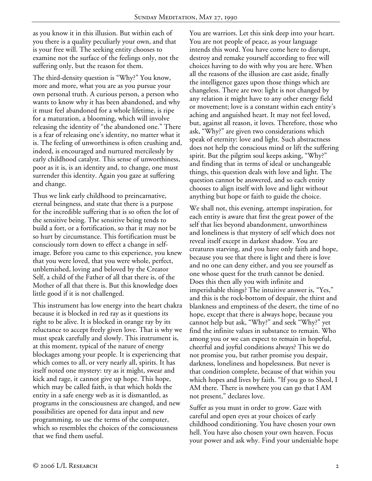as you know it in this illusion. But within each of you there is a quality peculiarly your own, and that is your free will. The seeking entity chooses to examine not the surface of the feelings only, not the suffering only, but the reason for them.

The third-density question is "Why?" You know, more and more, what you are as you pursue your own personal truth. A curious person, a person who wants to know why it has been abandoned, and why it must feel abandoned for a whole lifetime, is ripe for a maturation, a blooming, which will involve releasing the identity of "the abandoned one." There is a fear of releasing one's identity, no matter what it is. The feeling of unworthiness is often crushing and, indeed, is encouraged and nurtured mercilessly by early childhood catalyst. This sense of unworthiness, poor as it is, is an identity and, to change, one must surrender this identity. Again you gaze at suffering and change.

Thus we link early childhood to preincarnative, eternal beingness, and state that there is a purpose for the incredible suffering that is so often the lot of the sensitive being. The sensitive being tends to build a fort, or a fortification, so that it may not be so hurt by circumstance. This fortification must be consciously torn down to effect a change in selfimage. Before you came to this experience, you knew that you were loved, that you were whole, perfect, unblemished, loving and beloved by the Creator Self, a child of the Father of all that there is, of the Mother of all that there is. But this knowledge does little good if it is not challenged.

This instrument has low energy into the heart chakra because it is blocked in red ray as it questions its right to be alive. It is blocked in orange ray by its reluctance to accept freely given love. That is why we must speak carefully and slowly. This instrument is, at this moment, typical of the nature of energy blockages among your people. It is experiencing that which comes to all, or very nearly all, spirits. It has itself noted one mystery: try as it might, swear and kick and rage, it cannot give up hope. This hope, which may be called faith, is that which holds the entity in a safe energy web as it is dismantled, as programs in the consciousness are changed, and new possibilities are opened for data input and new programming, to use the terms of the computer, which so resembles the choices of the consciousness that we find them useful.

You are warriors. Let this sink deep into your heart. You are not people of peace, as your language intends this word. You have come here to disrupt, destroy and remake yourself according to free will choices having to do with why you are here. When all the reasons of the illusion are cast aside, finally the intelligence gazes upon those things which are changeless. There are two: light is not changed by any relation it might have to any other energy field or movement; love is a constant within each entity's aching and anguished heart. It may not feel loved, but, against all reason, it loves. Therefore, those who ask, "Why?" are given two considerations which speak of eternity: love and light. Such abstractness does not help the conscious mind or lift the suffering spirit. But the pilgrim soul keeps asking, "Why?" and finding that in terms of ideal or unchangeable things, this question deals with love and light. The question cannot be answered, and so each entity chooses to align itself with love and light without anything but hope or faith to guide the choice.

We shall not, this evening, attempt inspiration, for each entity is aware that first the great power of the self that lies beyond abandonment, unworthiness and loneliness is that mystery of self which does not reveal itself except in darkest shadow. You are creatures starving, and you have only faith and hope, because you see that there is light and there is love and no one can deny either, and you see yourself as one whose quest for the truth cannot be denied. Does this then ally you with infinite and imperishable things? The intuitive answer is, "Yes," and this is the rock-bottom of despair, the thirst and blankness and emptiness of the desert, the time of no hope, except that there is always hope, because you cannot help but ask, "Why?" and seek "Why?" yet find the infinite values in substance to remain. Who among you or we can expect to remain in hopeful, cheerful and joyful conditions always? This we do not promise you, but rather promise you despair, darkness, loneliness and hopelessness. But never is that condition complete, because of that within you which hopes and lives by faith. "If you go to Sheol, I AM there. There is nowhere you can go that I AM not present," declares love.

Suffer as you must in order to grow. Gaze with careful and open eyes at your choices of early childhood conditioning. You have chosen your own hell. You have also chosen your own heaven. Focus your power and ask why. Find your undeniable hope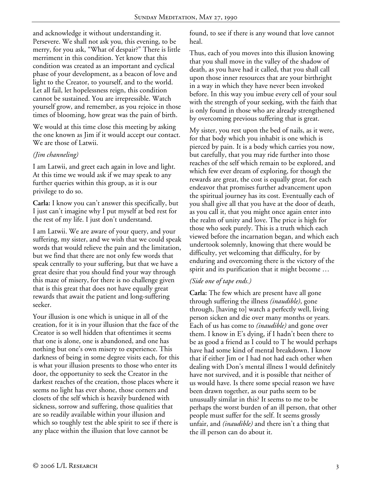and acknowledge it without understanding it. Persevere. We shall not ask you, this evening, to be merry, for you ask, "What of despair?" There is little merriment in this condition. Yet know that this condition was created as an important and cyclical phase of your development, as a beacon of love and light to the Creator, to yourself, and to the world. Let all fail, let hopelessness reign, this condition cannot be sustained. You are irrepressible. Watch yourself grow, and remember, as you rejoice in those times of blooming, how great was the pain of birth.

We would at this time close this meeting by asking the one known as Jim if it would accept our contact. We are those of Latwii.

## *(Jim channeling)*

I am Latwii, and greet each again in love and light. At this time we would ask if we may speak to any further queries within this group, as it is our privilege to do so.

**Carla:** I know you can't answer this specifically, but I just can't imagine why I put myself at bed rest for the rest of my life. I just don't understand.

I am Latwii. We are aware of your query, and your suffering, my sister, and we wish that we could speak words that would relieve the pain and the limitation, but we find that there are not only few words that speak centrally to your suffering, but that we have a great desire that you should find your way through this maze of misery, for there is no challenge given that is this great that does not have equally great rewards that await the patient and long-suffering seeker.

Your illusion is one which is unique in all of the creation, for it is in your illusion that the face of the Creator is so well hidden that oftentimes it seems that one is alone, one is abandoned, and one has nothing but one's own misery to experience. This darkness of being in some degree visits each, for this is what your illusion presents to those who enter its door, the opportunity to seek the Creator in the darkest reaches of the creation, those places where it seems no light has ever shone, those corners and closets of the self which is heavily burdened with sickness, sorrow and suffering, those qualities that are so readily available within your illusion and which so toughly test the able spirit to see if there is any place within the illusion that love cannot be

found, to see if there is any wound that love cannot heal.

Thus, each of you moves into this illusion knowing that you shall move in the valley of the shadow of death, as you have had it called, that you shall call upon those inner resources that are your birthright in a way in which they have never been invoked before. In this way you imbue every cell of your soul with the strength of your seeking, with the faith that is only found in those who are already strengthened by overcoming previous suffering that is great.

My sister, you rest upon the bed of nails, as it were, for that body which you inhabit is one which is pierced by pain. It is a body which carries you now, but carefully, that you may ride further into those reaches of the self which remain to be explored, and which few ever dream of exploring, for though the rewards are great, the cost is equally great, for each endeavor that promises further advancement upon the spiritual journey has its cost. Eventually each of you shall give all that you have at the door of death, as you call it, that you might once again enter into the realm of unity and love. The price is high for those who seek purely. This is a truth which each viewed before the incarnation began, and which each undertook solemnly, knowing that there would be difficulty, yet welcoming that difficulty, for by enduring and overcoming there is the victory of the spirit and its purification that it might become …

## *(Side one of tape ends.)*

**Carla:** The few which are present have all gone through suffering the illness *(inaudible)*, gone through, [having to] watch a perfectly well, living person sicken and die over many months or years. Each of us has come to *(inaudible)* and gone over them. I know in E's dying, if I hadn't been there to be as good a friend as I could to T he would perhaps have had some kind of mental breakdown. I know that if either Jim or I had not had each other when dealing with Don's mental illness I would definitely have not survived, and it is possible that neither of us would have. Is there some special reason we have been drawn together, as our paths seem to be unusually similar in this? It seems to me to be perhaps the worst burden of an ill person, that other people must suffer for the self. It seems grossly unfair, and *(inaudible)* and there isn't a thing that the ill person can do about it.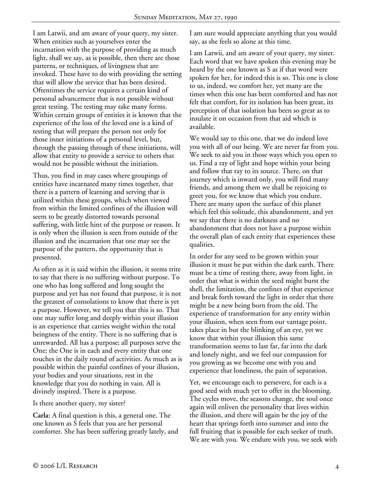I am Latwii, and am aware of your query, my sister. When entities such as yourselves enter the incarnation with the purpose of providing as much light, shall we say, as is possible, then there are those patterns, or techniques, of livingness that are invoked. These have to do with providing the setting that will allow the service that has been desired. Oftentimes the service requires a certain kind of personal advancement that is not possible without great testing. The testing may take many forms. Within certain groups of entities it is known that the experience of the loss of the loved one is a kind of testing that will prepare the person not only for those inner initiations of a personal level, but, through the passing through of these initiations, will allow that entity to provide a service to others that would not be possible without the initiation.

Thus, you find in may cases where groupings of entities have incarnated many times together, that there is a pattern of learning and serving that is utilized within these groups, which when viewed from within the limited confines of the illusion will seem to be greatly distorted towards personal suffering, with little hint of the purpose or reason. It is only when the illusion is seen from outside of the illusion and the incarnation that one may see the purpose of the pattern, the opportunity that is presented.

As often as it is said within the illusion, it seems trite to say that there is no suffering without purpose. To one who has long suffered and long sought the purpose and yet has not found that purpose, it is not the greatest of consolations to know that there is yet a purpose. However, we tell you that this is so. That one may suffer long and deeply within your illusion is an experience that carries weight within the total beingness of the entity. There is no suffering that is unrewarded. All has a purpose; all purposes serve the One; the One is in each and every entity that one touches in the daily round of activities. As much as is possible within the painful confines of your illusion, your bodies and your situations, rest in the knowledge that you do nothing in vain. All is divinely inspired. There is a purpose.

Is there another query, my sister?

**Carla:** A final question is this, a general one. The one known as S feels that you are her personal comforter. She has been suffering greatly lately, and I am sure would appreciate anything that you would say, as she feels so alone at this time.

I am Latwii, and am aware of your query, my sister. Each word that we have spoken this evening may be heard by the one known as S as if that word were spoken for her, for indeed this is so. This one is close to us, indeed, we comfort her, yet many are the times when this one has been comforted and has not felt that comfort, for its isolation has been great, its perception of that isolation has been so great as to insulate it on occasion from that aid which is available.

We would say to this one, that we do indeed love you with all of our being. We are never far from you. We seek to aid you in those ways which you open to us. Find a ray of light and hope within your being and follow that ray to its source. There, on that journey which is inward only, you will find many friends, and among them we shall be rejoicing to greet you, for we know that which you endure. There are many upon the surface of this planet which feel this solitude, this abandonment, and yet we say that there is no darkness and no abandonment that does not have a purpose within the overall plan of each entity that experiences these qualities.

In order for any seed to be grown within your illusion it must be put within the dark earth. There must be a time of resting there, away from light, in order that what is within the seed might burst the shell, the limitation, the confines of that experience and break forth toward the light in order that there might be a new being born from the old. The experience of transformation for any entity within your illusion, when seen from our vantage point, takes place in but the blinking of an eye, yet we know that within your illusion this same transformation seems to last far, far into the dark and lonely night, and we feel our compassion for you growing as we become one with you and experience that loneliness, the pain of separation.

Yet, we encourage each to persevere, for each is a good seed with much yet to offer in the blooming. The cycles move, the seasons change, the soul once again will enliven the personality that lives within the illusion, and there will again be the joy of the heart that springs forth into summer and into the full fruiting that is possible for each seeker of truth. We are with you. We endure with you, we seek with